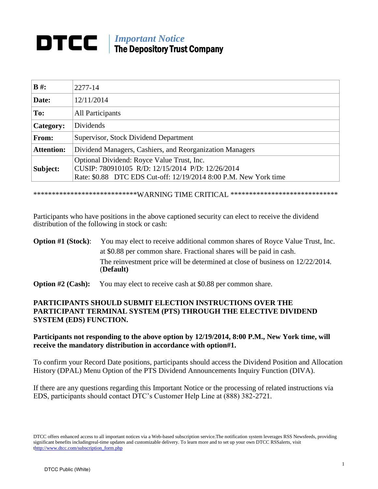## *Important Notice*<br>The Department Trust The Depository Trust Company

| $B \#$ :          | 2277-14                                                                                                                                                            |
|-------------------|--------------------------------------------------------------------------------------------------------------------------------------------------------------------|
| Date:             | 12/11/2014                                                                                                                                                         |
| To:               | <b>All Participants</b>                                                                                                                                            |
| Category:         | <b>Dividends</b>                                                                                                                                                   |
| From:             | Supervisor, Stock Dividend Department                                                                                                                              |
| <b>Attention:</b> | Dividend Managers, Cashiers, and Reorganization Managers                                                                                                           |
| Subject:          | Optional Dividend: Royce Value Trust, Inc.<br>CUSIP: 780910105 R/D: 12/15/2014 P/D: 12/26/2014<br>Rate: \$0.88 DTC EDS Cut-off: 12/19/2014 8:00 P.M. New York time |

\*\*\*\*\*\*\*\*\*\*\*\*\*\*\*\*\*\*\*\*\*\*\*\*\*\*\*\*WARNING TIME CRITICAL \*\*\*\*\*\*\*\*\*\*\*\*\*\*\*\*\*\*\*\*\*\*\*\*\*\*\*\*\*

Participants who have positions in the above captioned security can elect to receive the dividend distribution of the following in stock or cash:

- **Option #1 (Stock):** You may elect to receive additional common shares of Royce Value Trust, Inc. at \$0.88 per common share. Fractional shares will be paid in cash. The reinvestment price will be determined at close of business on 12/22/2014. (**Default)**
- **Option #2 (Cash):** You may elect to receive cash at \$0.88 per common share.

## **PARTICIPANTS SHOULD SUBMIT ELECTION INSTRUCTIONS OVER THE PARTICIPANT TERMINAL SYSTEM (PTS) THROUGH THE ELECTIVE DIVIDEND SYSTEM (EDS) FUNCTION.**

## **Participants not responding to the above option by 12/19/2014, 8:00 P.M., New York time, will receive the mandatory distribution in accordance with option#1.**

To confirm your Record Date positions, participants should access the Dividend Position and Allocation History (DPAL) Menu Option of the PTS Dividend Announcements Inquiry Function (DIVA).

If there are any questions regarding this Important Notice or the processing of related instructions via EDS, participants should contact DTC's Customer Help Line at (888) 382-2721.

DTCC offers enhanced access to all important notices via a Web-based subscription service.The notification system leverages RSS Newsfeeds, providing significant benefits includingreal-time updates and customizable delivery. To learn more and to set up your own DTCC RSSalerts, visit [thttp://www.dtcc.com/subscription\\_form.php](http://www.dtcc.com/subscription_form.php)